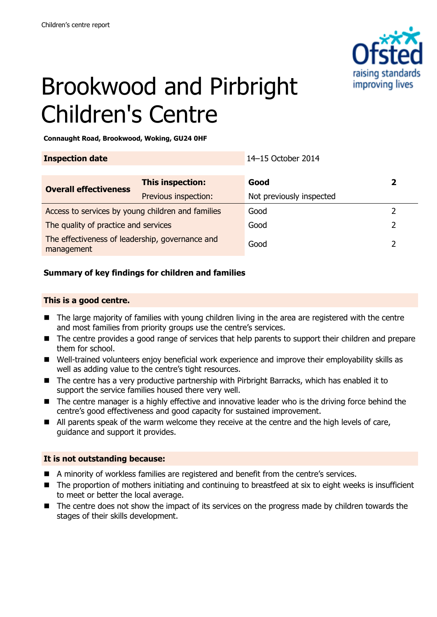

# Brookwood and Pirbright Children's Centre

**Connaught Road, Brookwood, Woking, GU24 0HF**

| <b>Inspection date</b>                                        |                      | 14-15 October 2014       |   |
|---------------------------------------------------------------|----------------------|--------------------------|---|
| <b>Overall effectiveness</b>                                  | This inspection:     | Good                     | 2 |
|                                                               | Previous inspection: | Not previously inspected |   |
| Access to services by young children and families             |                      | Good                     |   |
| The quality of practice and services                          |                      | Good                     |   |
| The effectiveness of leadership, governance and<br>management |                      | Good                     |   |

#### **Summary of key findings for children and families**

#### **This is a good centre.**

- The large majority of families with young children living in the area are registered with the centre and most families from priority groups use the centre's services.
- The centre provides a good range of services that help parents to support their children and prepare them for school.
- Well-trained volunteers enjoy beneficial work experience and improve their employability skills as well as adding value to the centre's tight resources.
- The centre has a very productive partnership with Pirbright Barracks, which has enabled it to support the service families housed there very well.
- The centre manager is a highly effective and innovative leader who is the driving force behind the centre's good effectiveness and good capacity for sustained improvement.
- All parents speak of the warm welcome they receive at the centre and the high levels of care, guidance and support it provides.

#### **It is not outstanding because:**

- A minority of workless families are registered and benefit from the centre's services.
- The proportion of mothers initiating and continuing to breastfeed at six to eight weeks is insufficient to meet or better the local average.
- The centre does not show the impact of its services on the progress made by children towards the stages of their skills development.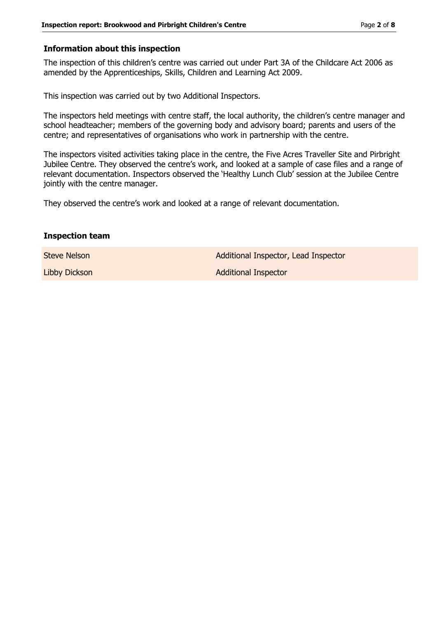#### **Information about this inspection**

The inspection of this children's centre was carried out under Part 3A of the Childcare Act 2006 as amended by the Apprenticeships, Skills, Children and Learning Act 2009.

This inspection was carried out by two Additional Inspectors.

The inspectors held meetings with centre staff, the local authority, the children's centre manager and school headteacher; members of the governing body and advisory board; parents and users of the centre; and representatives of organisations who work in partnership with the centre.

The inspectors visited activities taking place in the centre, the Five Acres Traveller Site and Pirbright Jubilee Centre. They observed the centre's work, and looked at a sample of case files and a range of relevant documentation. Inspectors observed the 'Healthy Lunch Club' session at the Jubilee Centre jointly with the centre manager.

They observed the centre's work and looked at a range of relevant documentation.

#### **Inspection team**

Steve Nelson **Additional Inspector, Lead Inspector** Libby Dickson **Additional Inspector** Additional Inspector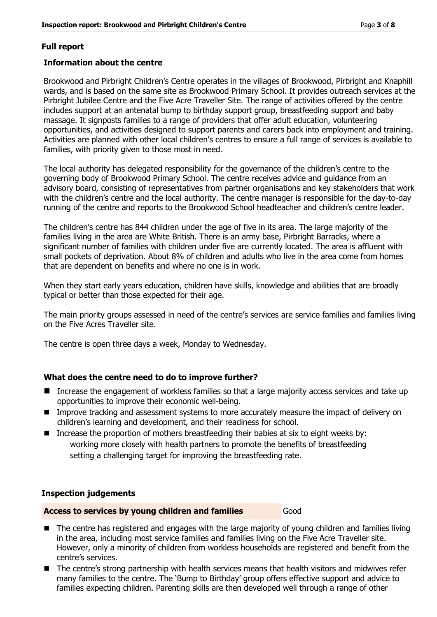#### **Full report**

#### **Information about the centre**

Brookwood and Pirbright Children's Centre operates in the villages of Brookwood, Pirbright and Knaphill wards, and is based on the same site as Brookwood Primary School. It provides outreach services at the Pirbright Jubilee Centre and the Five Acre Traveller Site. The range of activities offered by the centre includes support at an antenatal bump to birthday support group, breastfeeding support and baby massage. It signposts families to a range of providers that offer adult education, volunteering opportunities, and activities designed to support parents and carers back into employment and training. Activities are planned with other local children's centres to ensure a full range of services is available to families, with priority given to those most in need.

The local authority has delegated responsibility for the governance of the children's centre to the governing body of Brookwood Primary School. The centre receives advice and guidance from an advisory board, consisting of representatives from partner organisations and key stakeholders that work with the children's centre and the local authority. The centre manager is responsible for the day-to-day running of the centre and reports to the Brookwood School headteacher and children's centre leader.

The children's centre has 844 children under the age of five in its area. The large majority of the families living in the area are White British. There is an army base, Pirbright Barracks, where a significant number of families with children under five are currently located. The area is affluent with small pockets of deprivation. About 8% of children and adults who live in the area come from homes that are dependent on benefits and where no one is in work.

When they start early years education, children have skills, knowledge and abilities that are broadly typical or better than those expected for their age.

The main priority groups assessed in need of the centre's services are service families and families living on the Five Acres Traveller site.

The centre is open three days a week, Monday to Wednesday.

#### **What does the centre need to do to improve further?**

- Increase the engagement of workless families so that a large majority access services and take up opportunities to improve their economic well-being.
- **IMPROVE THE ASSESS INCOCENT** Improve tracking and assessment systems to more accurately measure the impact of delivery on children's learning and development, and their readiness for school.
- Increase the proportion of mothers breastfeeding their babies at six to eight weeks by: working more closely with health partners to promote the benefits of breastfeeding setting a challenging target for improving the breastfeeding rate.

#### **Inspection judgements**

#### **Access to services by young children and families** Good

- The centre has registered and engages with the large majority of young children and families living in the area, including most service families and families living on the Five Acre Traveller site. However, only a minority of children from workless households are registered and benefit from the centre's services.
- The centre's strong partnership with health services means that health visitors and midwives refer many families to the centre. The 'Bump to Birthday' group offers effective support and advice to families expecting children. Parenting skills are then developed well through a range of other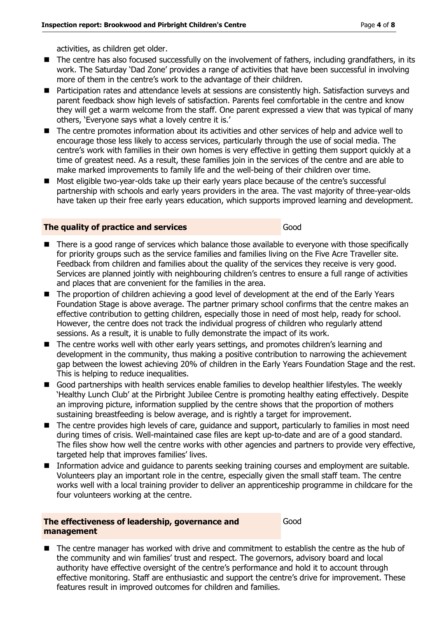activities, as children get older.

- The centre has also focused successfully on the involvement of fathers, including grandfathers, in its work. The Saturday 'Dad Zone' provides a range of activities that have been successful in involving more of them in the centre's work to the advantage of their children.
- Participation rates and attendance levels at sessions are consistently high. Satisfaction surveys and parent feedback show high levels of satisfaction. Parents feel comfortable in the centre and know they will get a warm welcome from the staff. One parent expressed a view that was typical of many others, 'Everyone says what a lovely centre it is.'
- The centre promotes information about its activities and other services of help and advice well to encourage those less likely to access services, particularly through the use of social media. The centre's work with families in their own homes is very effective in getting them support quickly at a time of greatest need. As a result, these families join in the services of the centre and are able to make marked improvements to family life and the well-being of their children over time.
- Most eligible two-year-olds take up their early years place because of the centre's successful partnership with schools and early years providers in the area. The vast majority of three-year-olds have taken up their free early years education, which supports improved learning and development.

#### **The quality of practice and services** Good

#### There is a good range of services which balance those available to everyone with those specifically for priority groups such as the service families and families living on the Five Acre Traveller site. Feedback from children and families about the quality of the services they receive is very good. Services are planned jointly with neighbouring children's centres to ensure a full range of activities and places that are convenient for the families in the area.

- The proportion of children achieving a good level of development at the end of the Early Years Foundation Stage is above average. The partner primary school confirms that the centre makes an effective contribution to getting children, especially those in need of most help, ready for school. However, the centre does not track the individual progress of children who regularly attend sessions. As a result, it is unable to fully demonstrate the impact of its work.
- The centre works well with other early years settings, and promotes children's learning and development in the community, thus making a positive contribution to narrowing the achievement gap between the lowest achieving 20% of children in the Early Years Foundation Stage and the rest. This is helping to reduce inequalities.
- Good partnerships with health services enable families to develop healthier lifestyles. The weekly 'Healthy Lunch Club' at the Pirbright Jubilee Centre is promoting healthy eating effectively. Despite an improving picture, information supplied by the centre shows that the proportion of mothers sustaining breastfeeding is below average, and is rightly a target for improvement.
- The centre provides high levels of care, guidance and support, particularly to families in most need during times of crisis. Well-maintained case files are kept up-to-date and are of a good standard. The files show how well the centre works with other agencies and partners to provide very effective, targeted help that improves families' lives.
- **Information advice and guidance to parents seeking training courses and employment are suitable.** Volunteers play an important role in the centre, especially given the small staff team. The centre works well with a local training provider to deliver an apprenticeship programme in childcare for the four volunteers working at the centre.

#### **The effectiveness of leadership, governance and management**

Good

 The centre manager has worked with drive and commitment to establish the centre as the hub of the community and win families' trust and respect. The governors, advisory board and local authority have effective oversight of the centre's performance and hold it to account through effective monitoring. Staff are enthusiastic and support the centre's drive for improvement. These features result in improved outcomes for children and families.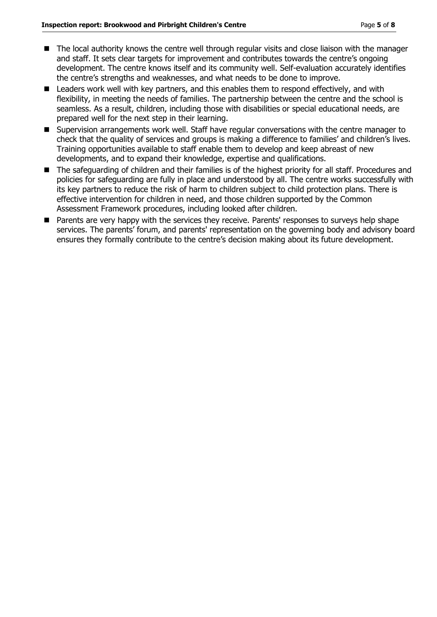- The local authority knows the centre well through regular visits and close liaison with the manager and staff. It sets clear targets for improvement and contributes towards the centre's ongoing development. The centre knows itself and its community well. Self-evaluation accurately identifies the centre's strengths and weaknesses, and what needs to be done to improve.
- Leaders work well with key partners, and this enables them to respond effectively, and with flexibility, in meeting the needs of families. The partnership between the centre and the school is seamless. As a result, children, including those with disabilities or special educational needs, are prepared well for the next step in their learning.
- Supervision arrangements work well. Staff have regular conversations with the centre manager to check that the quality of services and groups is making a difference to families' and children's lives. Training opportunities available to staff enable them to develop and keep abreast of new developments, and to expand their knowledge, expertise and qualifications.
- The safeguarding of children and their families is of the highest priority for all staff. Procedures and policies for safeguarding are fully in place and understood by all. The centre works successfully with its key partners to reduce the risk of harm to children subject to child protection plans. There is effective intervention for children in need, and those children supported by the Common Assessment Framework procedures, including looked after children.
- **Parents are very happy with the services they receive. Parents' responses to surveys help shape** services. The parents' forum, and parents' representation on the governing body and advisory board ensures they formally contribute to the centre's decision making about its future development.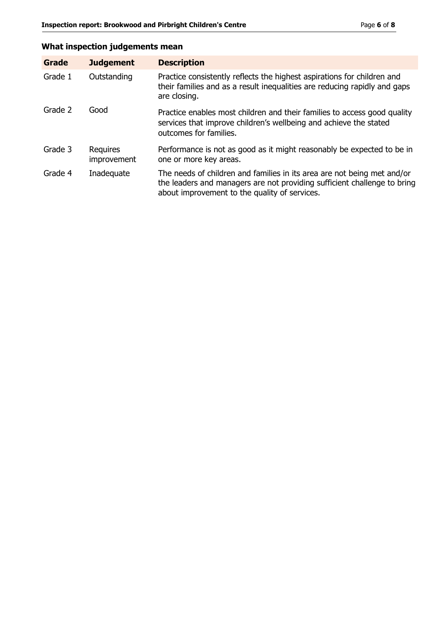### **What inspection judgements mean**

| Grade   | <b>Judgement</b>               | <b>Description</b>                                                                                                                                                                                   |
|---------|--------------------------------|------------------------------------------------------------------------------------------------------------------------------------------------------------------------------------------------------|
| Grade 1 | Outstanding                    | Practice consistently reflects the highest aspirations for children and<br>their families and as a result inequalities are reducing rapidly and gaps<br>are closing.                                 |
| Grade 2 | Good                           | Practice enables most children and their families to access good quality<br>services that improve children's wellbeing and achieve the stated<br>outcomes for families.                              |
| Grade 3 | <b>Requires</b><br>improvement | Performance is not as good as it might reasonably be expected to be in<br>one or more key areas.                                                                                                     |
| Grade 4 | Inadequate                     | The needs of children and families in its area are not being met and/or<br>the leaders and managers are not providing sufficient challenge to bring<br>about improvement to the quality of services. |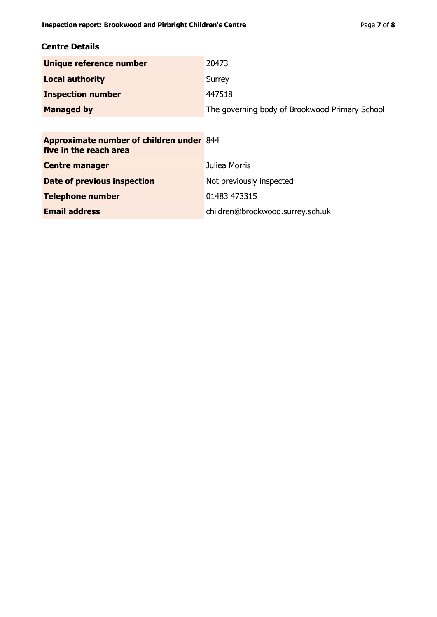#### **Centre Details**

| Unique reference number  | 20473                                          |
|--------------------------|------------------------------------------------|
| <b>Local authority</b>   | Surrey                                         |
| <b>Inspection number</b> | 447518                                         |
| <b>Managed by</b>        | The governing body of Brookwood Primary School |

## **Approximate number of children under**  844 **five in the reach area Centre manager Centre manager Juliea Morris Date of previous inspection** Not previously inspected **Telephone number** 01483 473315 **Email address** children@brookwood.surrey.sch.uk